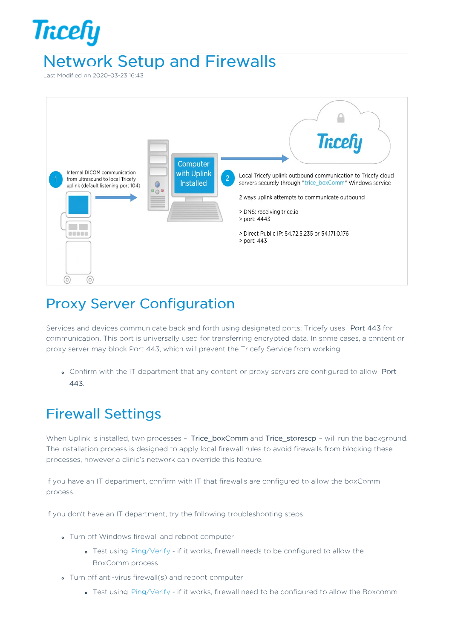## **Tricefy** Network Setup and Firewalls

Last Modified on 2020-03-23 16:43



## Proxy Server Configuration

Services and devices communicate back and forth using designated ports; Tricefy uses Port 443 for communication. This port is universally used for transferring encrypted data. In some cases, a content or proxy server may block Port 443, which will prevent the Tricefy Service from working.

Confirm with the IT department that any content or proxy servers are configured to allow Port 443.

## Firewall Settings

When Uplink is installed, two processes - Trice\_boxComm and Trice\_storescp - will run the background. The installation process is designed to apply local firewall rules to avoid firewalls from blocking these processes, however a clinic's network can override this feature.

If you have an IT department, confirm with IT that firewalls are configured to allow the boxComm process.

If you don't have an IT department, try the following troubleshooting steps:

- Turn off Windows firewall and reboot computer
	- Test using Ping/Verify if it works, firewall needs to be configured to allow the BoxComm process
- Turn off anti-virus firewall(s) and reboot computer
	- Test using Ping/Verify if it works, firewall need to be configured to allow the Boxcomm